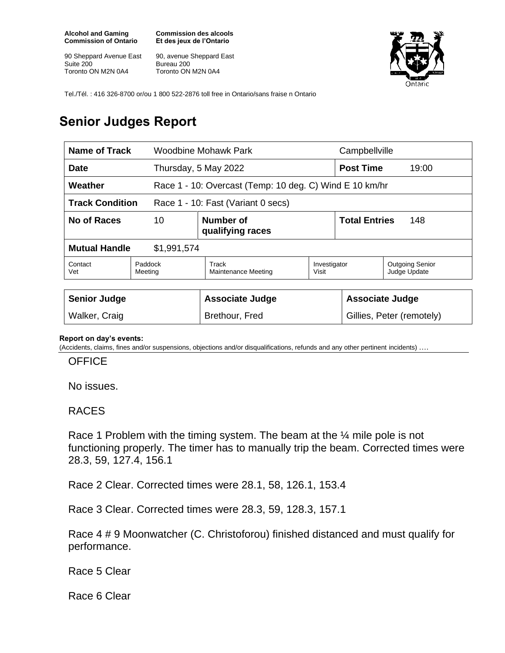**Alcohol and Gaming Commission of Ontario**

90 Sheppard Avenue East Suite 200 Toronto ON M2N 0A4

**Commission des alcools Et des jeux de l'Ontario**

90, avenue Sheppard East Bureau 200 Toronto ON M2N 0A4



Tel./Tél. : 416 326-8700 or/ou 1 800 522-2876 toll free in Ontario/sans fraise n Ontario

## **Senior Judges Report**

| Name of Track                                                |                                                         | Woodbine Mohawk Park                |                       | Campbellville               |                                        |
|--------------------------------------------------------------|---------------------------------------------------------|-------------------------------------|-----------------------|-----------------------------|----------------------------------------|
| <b>Date</b>                                                  |                                                         | Thursday, 5 May 2022                |                       | <b>Post Time</b><br>19:00   |                                        |
| Weather                                                      | Race 1 - 10: Overcast (Temp: 10 deg. C) Wind E 10 km/hr |                                     |                       |                             |                                        |
| <b>Track Condition</b><br>Race 1 - 10: Fast (Variant 0 secs) |                                                         |                                     |                       |                             |                                        |
| No of Races                                                  | 10                                                      | Number of<br>qualifying races       |                       | <b>Total Entries</b><br>148 |                                        |
| <b>Mutual Handle</b><br>\$1,991,574                          |                                                         |                                     |                       |                             |                                        |
| Contact<br>Vet                                               | Paddock<br>Meeting                                      | Track<br><b>Maintenance Meeting</b> | Investigator<br>Visit |                             | <b>Outgoing Senior</b><br>Judge Update |
|                                                              |                                                         |                                     |                       |                             |                                        |
| <b>Senior Judge</b>                                          |                                                         | <b>Associate Judge</b>              |                       | <b>Associate Judge</b>      |                                        |
| Walker, Craig                                                |                                                         | Brethour, Fred                      |                       | Gillies, Peter (remotely)   |                                        |

## **Report on day's events:**

(Accidents, claims, fines and/or suspensions, objections and/or disqualifications, refunds and any other pertinent incidents) ….

## **OFFICE**

No issues.

## RACES

Race 1 Problem with the timing system. The beam at the ¼ mile pole is not functioning properly. The timer has to manually trip the beam. Corrected times were 28.3, 59, 127.4, 156.1

Race 2 Clear. Corrected times were 28.1, 58, 126.1, 153.4

Race 3 Clear. Corrected times were 28.3, 59, 128.3, 157.1

Race 4 # 9 Moonwatcher (C. Christoforou) finished distanced and must qualify for performance.

Race 5 Clear

Race 6 Clear